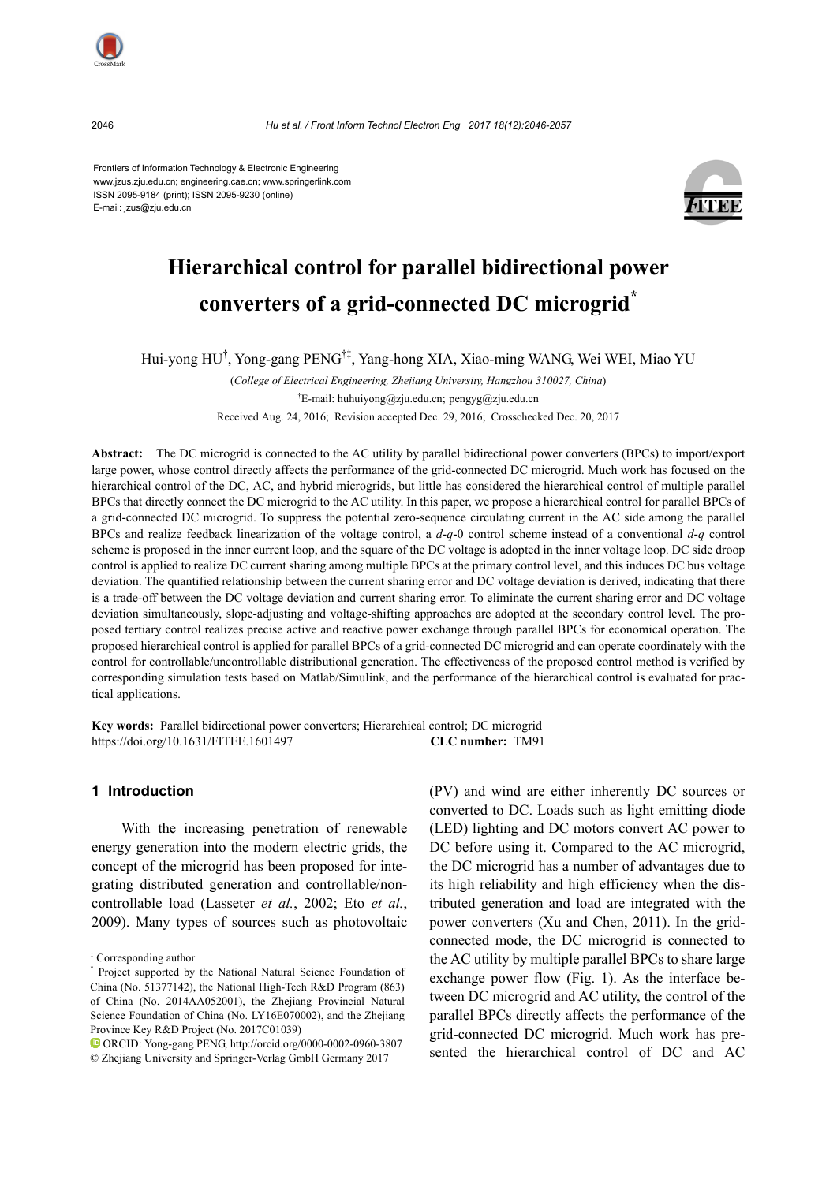

Frontiers of Information Technology & Electronic Engineering www.jzus.zju.edu.cn; engineering.cae.cn; www.springerlink.com ISSN 2095-9184 (print); ISSN 2095-9230 (online) E-mail: jzus@zju.edu.cn



# **Hierarchical control for parallel bidirectional power converters of a grid-connected DC microgrid\***

Hui-yong HU† , Yong-gang PENG†‡, Yang-hong XIA, Xiao-ming WANG, Wei WEI, Miao YU

(*College of Electrical Engineering, Zhejiang University, Hangzhou 310027, China*) † E-mail: huhuiyong@zju.edu.cn; pengyg@zju.edu.cn Received Aug. 24, 2016; Revision accepted Dec. 29, 2016; Crosschecked Dec. 20, 2017

**Abstract:** The DC microgrid is connected to the AC utility by parallel bidirectional power converters (BPCs) to import/export large power, whose control directly affects the performance of the grid-connected DC microgrid. Much work has focused on the hierarchical control of the DC, AC, and hybrid microgrids, but little has considered the hierarchical control of multiple parallel BPCs that directly connect the DC microgrid to the AC utility. In this paper, we propose a hierarchical control for parallel BPCs of a grid-connected DC microgrid. To suppress the potential zero-sequence circulating current in the AC side among the parallel BPCs and realize feedback linearization of the voltage control, a *d*-*q*-0 control scheme instead of a conventional *d*-*q* control scheme is proposed in the inner current loop, and the square of the DC voltage is adopted in the inner voltage loop. DC side droop control is applied to realize DC current sharing among multiple BPCs at the primary control level, and this induces DC bus voltage deviation. The quantified relationship between the current sharing error and DC voltage deviation is derived, indicating that there is a trade-off between the DC voltage deviation and current sharing error. To eliminate the current sharing error and DC voltage deviation simultaneously, slope-adjusting and voltage-shifting approaches are adopted at the secondary control level. The proposed tertiary control realizes precise active and reactive power exchange through parallel BPCs for economical operation. The proposed hierarchical control is applied for parallel BPCs of a grid-connected DC microgrid and can operate coordinately with the control for controllable/uncontrollable distributional generation. The effectiveness of the proposed control method is verified by corresponding simulation tests based on Matlab/Simulink, and the performance of the hierarchical control is evaluated for practical applications.

**Key words:** Parallel bidirectional power converters; Hierarchical control; DC microgrid https://doi.org/10.1631/FITEE.1601497 **CLC number:** TM91

# **1 Introduction**

With the increasing penetration of renewable energy generation into the modern electric grids, the concept of the microgrid has been proposed for integrating distributed generation and controllable/noncontrollable load (Lasseter *et al.*, 2002; Eto *et al.*, 2009). Many types of sources such as photovoltaic

(PV) and wind are either inherently DC sources or converted to DC. Loads such as light emitting diode (LED) lighting and DC motors convert AC power to DC before using it. Compared to the AC microgrid, the DC microgrid has a number of advantages due to its high reliability and high efficiency when the distributed generation and load are integrated with the power converters (Xu and Chen, 2011). In the gridconnected mode, the DC microgrid is connected to the AC utility by multiple parallel BPCs to share large exchange power flow (Fig. 1). As the interface between DC microgrid and AC utility, the control of the parallel BPCs directly affects the performance of the grid-connected DC microgrid. Much work has presented the hierarchical control of DC and AC

<sup>‡</sup> Corresponding author

<sup>\*</sup> Project supported by the National Natural Science Foundation of China (No. 51377142), the National High-Tech R&D Program (863) of China (No. 2014AA052001), the Zhejiang Provincial Natural Science Foundation of China (No. LY16E070002), and the Zhejiang Province Key R&D Project (No. 2017C01039)

ORCID: Yong-gang PENG, http://orcid.org/0000-0002-0960-3807 © Zhejiang University and Springer-Verlag GmbH Germany 2017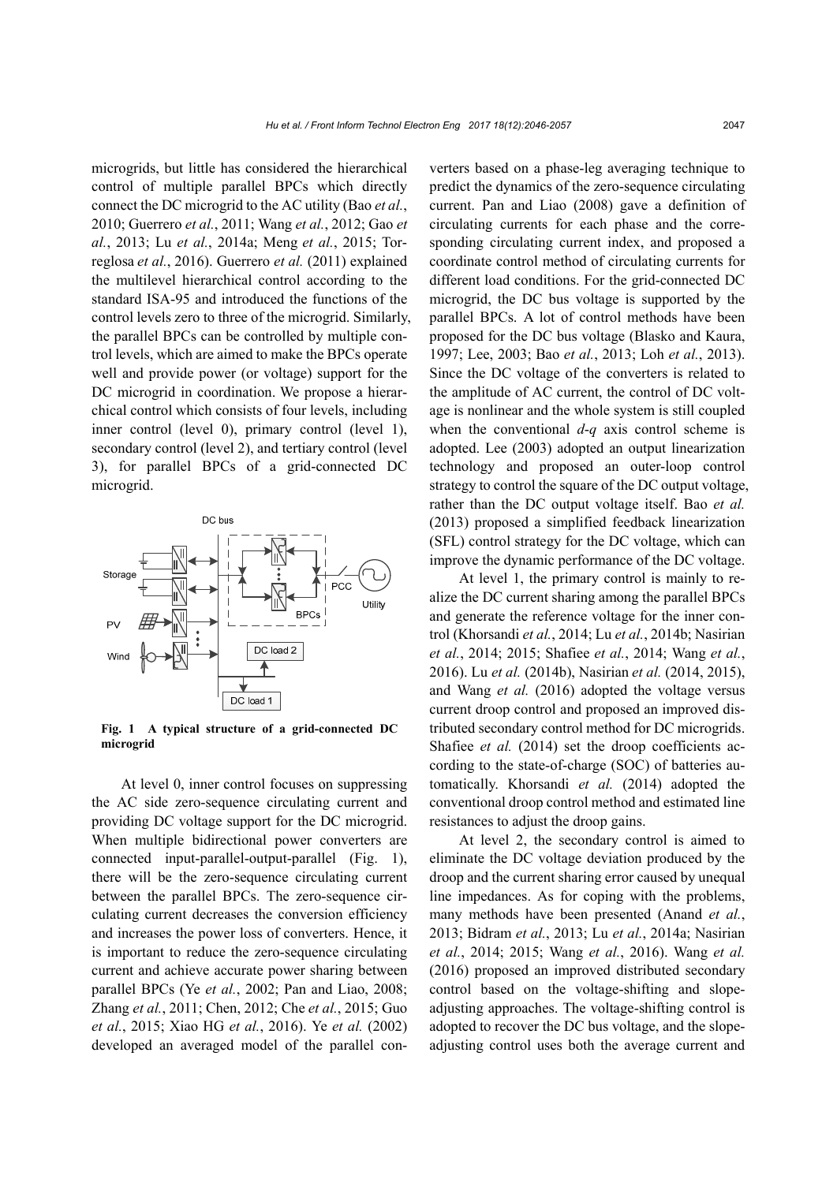microgrids, but little has considered the hierarchical control of multiple parallel BPCs which directly connect the DC microgrid to the AC utility (Bao *et al.*, 2010; Guerrero *et al.*, 2011; Wang *et al.*, 2012; Gao *et al.*, 2013; Lu *et al.*, 2014a; Meng *et al.*, 2015; Torreglosa *et al.*, 2016). Guerrero *et al.* (2011) explained the multilevel hierarchical control according to the standard ISA-95 and introduced the functions of the control levels zero to three of the microgrid. Similarly, the parallel BPCs can be controlled by multiple control levels, which are aimed to make the BPCs operate well and provide power (or voltage) support for the DC microgrid in coordination. We propose a hierarchical control which consists of four levels, including inner control (level 0), primary control (level 1), secondary control (level 2), and tertiary control (level 3), for parallel BPCs of a grid-connected DC microgrid.



**Fig. 1 A typical structure of a grid-connected DC microgrid** 

At level 0, inner control focuses on suppressing the AC side zero-sequence circulating current and providing DC voltage support for the DC microgrid. When multiple bidirectional power converters are connected input-parallel-output-parallel (Fig. 1), there will be the zero-sequence circulating current between the parallel BPCs. The zero-sequence circulating current decreases the conversion efficiency and increases the power loss of converters. Hence, it is important to reduce the zero-sequence circulating current and achieve accurate power sharing between parallel BPCs (Ye *et al.*, 2002; Pan and Liao, 2008; Zhang *et al.*, 2011; Chen, 2012; Che *et al.*, 2015; Guo *et al.*, 2015; Xiao HG *et al.*, 2016). Ye *et al.* (2002) developed an averaged model of the parallel converters based on a phase-leg averaging technique to predict the dynamics of the zero-sequence circulating current. Pan and Liao (2008) gave a definition of circulating currents for each phase and the corresponding circulating current index, and proposed a coordinate control method of circulating currents for different load conditions. For the grid-connected DC microgrid, the DC bus voltage is supported by the parallel BPCs. A lot of control methods have been proposed for the DC bus voltage (Blasko and Kaura, 1997; Lee, 2003; Bao *et al.*, 2013; Loh *et al.*, 2013). Since the DC voltage of the converters is related to the amplitude of AC current, the control of DC voltage is nonlinear and the whole system is still coupled when the conventional *d*-*q* axis control scheme is adopted. Lee (2003) adopted an output linearization technology and proposed an outer-loop control strategy to control the square of the DC output voltage, rather than the DC output voltage itself. Bao *et al.* (2013) proposed a simplified feedback linearization (SFL) control strategy for the DC voltage, which can improve the dynamic performance of the DC voltage.

At level 1, the primary control is mainly to realize the DC current sharing among the parallel BPCs and generate the reference voltage for the inner control (Khorsandi *et al.*, 2014; Lu *et al.*, 2014b; Nasirian *et al.*, 2014; 2015; Shafiee *et al.*, 2014; Wang *et al.*, 2016). Lu *et al.* (2014b), Nasirian *et al.* (2014, 2015), and Wang *et al.* (2016) adopted the voltage versus current droop control and proposed an improved distributed secondary control method for DC microgrids. Shafiee *et al.* (2014) set the droop coefficients according to the state-of-charge (SOC) of batteries automatically. Khorsandi *et al.* (2014) adopted the conventional droop control method and estimated line resistances to adjust the droop gains.

At level 2, the secondary control is aimed to eliminate the DC voltage deviation produced by the droop and the current sharing error caused by unequal line impedances. As for coping with the problems, many methods have been presented (Anand *et al.*, 2013; Bidram *et al.*, 2013; Lu *et al.*, 2014a; Nasirian *et al.*, 2014; 2015; Wang *et al.*, 2016). Wang *et al.* (2016) proposed an improved distributed secondary control based on the voltage-shifting and slopeadjusting approaches. The voltage-shifting control is adopted to recover the DC bus voltage, and the slopeadjusting control uses both the average current and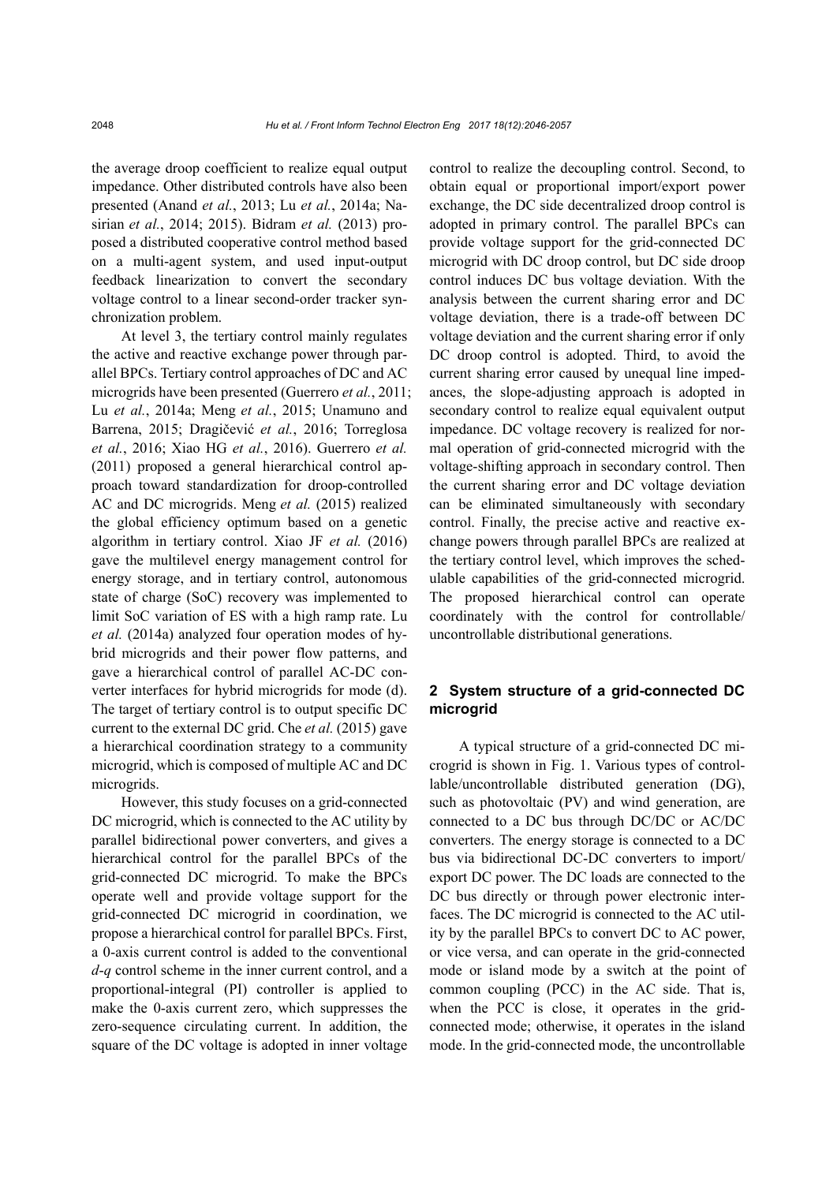the average droop coefficient to realize equal output impedance. Other distributed controls have also been presented (Anand *et al.*, 2013; Lu *et al.*, 2014a; Nasirian *et al.*, 2014; 2015). Bidram *et al.* (2013) proposed a distributed cooperative control method based on a multi-agent system, and used input-output feedback linearization to convert the secondary voltage control to a linear second-order tracker synchronization problem.

At level 3, the tertiary control mainly regulates the active and reactive exchange power through parallel BPCs. Tertiary control approaches of DC and AC microgrids have been presented (Guerrero *et al.*, 2011; Lu *et al.*, 2014a; Meng *et al.*, 2015; Unamuno and Barrena, 2015; Dragičević *et al.*, 2016; Torreglosa *et al.*, 2016; Xiao HG *et al.*, 2016). Guerrero *et al.* (2011) proposed a general hierarchical control approach toward standardization for droop-controlled AC and DC microgrids. Meng *et al.* (2015) realized the global efficiency optimum based on a genetic algorithm in tertiary control. Xiao JF *et al.* (2016) gave the multilevel energy management control for energy storage, and in tertiary control, autonomous state of charge (SoC) recovery was implemented to limit SoC variation of ES with a high ramp rate. Lu *et al.* (2014a) analyzed four operation modes of hybrid microgrids and their power flow patterns, and gave a hierarchical control of parallel AC-DC converter interfaces for hybrid microgrids for mode (d). The target of tertiary control is to output specific DC current to the external DC grid. Che *et al.* (2015) gave a hierarchical coordination strategy to a community microgrid, which is composed of multiple AC and DC microgrids.

However, this study focuses on a grid-connected DC microgrid, which is connected to the AC utility by parallel bidirectional power converters, and gives a hierarchical control for the parallel BPCs of the grid-connected DC microgrid. To make the BPCs operate well and provide voltage support for the grid-connected DC microgrid in coordination, we propose a hierarchical control for parallel BPCs. First, a 0-axis current control is added to the conventional *d*-*q* control scheme in the inner current control, and a proportional-integral (PI) controller is applied to make the 0-axis current zero, which suppresses the zero-sequence circulating current. In addition, the square of the DC voltage is adopted in inner voltage control to realize the decoupling control. Second, to obtain equal or proportional import/export power exchange, the DC side decentralized droop control is adopted in primary control. The parallel BPCs can provide voltage support for the grid-connected DC microgrid with DC droop control, but DC side droop control induces DC bus voltage deviation. With the analysis between the current sharing error and DC voltage deviation, there is a trade-off between DC voltage deviation and the current sharing error if only DC droop control is adopted. Third, to avoid the current sharing error caused by unequal line impedances, the slope-adjusting approach is adopted in secondary control to realize equal equivalent output impedance. DC voltage recovery is realized for normal operation of grid-connected microgrid with the voltage-shifting approach in secondary control. Then the current sharing error and DC voltage deviation can be eliminated simultaneously with secondary control. Finally, the precise active and reactive exchange powers through parallel BPCs are realized at the tertiary control level, which improves the schedulable capabilities of the grid-connected microgrid. The proposed hierarchical control can operate coordinately with the control for controllable/ uncontrollable distributional generations.

# **2 System structure of a grid-connected DC microgrid**

A typical structure of a grid-connected DC microgrid is shown in Fig. 1. Various types of controllable/uncontrollable distributed generation (DG), such as photovoltaic (PV) and wind generation, are connected to a DC bus through DC/DC or AC/DC converters. The energy storage is connected to a DC bus via bidirectional DC-DC converters to import/ export DC power. The DC loads are connected to the DC bus directly or through power electronic interfaces. The DC microgrid is connected to the AC utility by the parallel BPCs to convert DC to AC power, or vice versa, and can operate in the grid-connected mode or island mode by a switch at the point of common coupling (PCC) in the AC side. That is, when the PCC is close, it operates in the gridconnected mode; otherwise, it operates in the island mode. In the grid-connected mode, the uncontrollable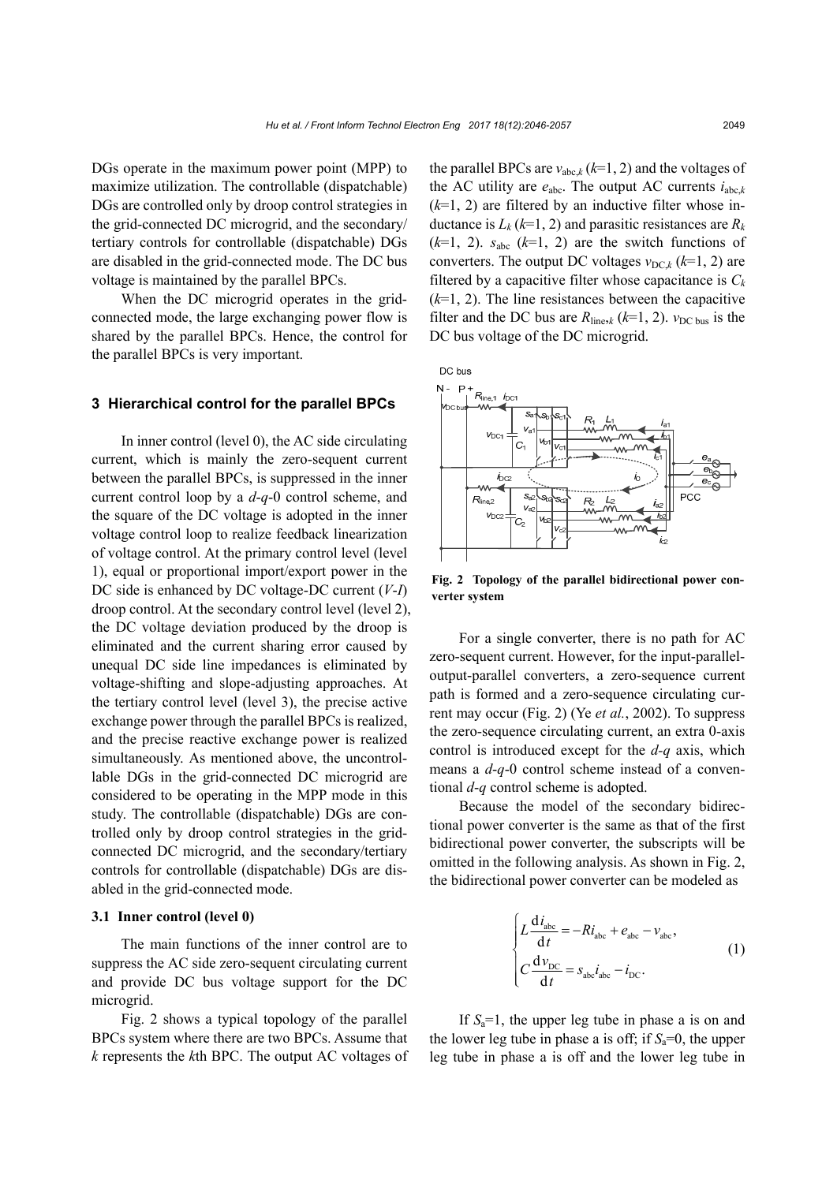DGs operate in the maximum power point (MPP) to maximize utilization. The controllable (dispatchable) DGs are controlled only by droop control strategies in the grid-connected DC microgrid, and the secondary/ tertiary controls for controllable (dispatchable) DGs are disabled in the grid-connected mode. The DC bus voltage is maintained by the parallel BPCs.

When the DC microgrid operates in the gridconnected mode, the large exchanging power flow is shared by the parallel BPCs. Hence, the control for the parallel BPCs is very important.

# **3 Hierarchical control for the parallel BPCs**

In inner control (level 0), the AC side circulating current, which is mainly the zero-sequent current between the parallel BPCs, is suppressed in the inner current control loop by a *d*-*q*-0 control scheme, and the square of the DC voltage is adopted in the inner voltage control loop to realize feedback linearization of voltage control. At the primary control level (level 1), equal or proportional import/export power in the DC side is enhanced by DC voltage-DC current (*V*-*I*) droop control. At the secondary control level (level 2), the DC voltage deviation produced by the droop is eliminated and the current sharing error caused by unequal DC side line impedances is eliminated by voltage-shifting and slope-adjusting approaches. At the tertiary control level (level 3), the precise active exchange power through the parallel BPCs is realized, and the precise reactive exchange power is realized simultaneously. As mentioned above, the uncontrollable DGs in the grid-connected DC microgrid are considered to be operating in the MPP mode in this study. The controllable (dispatchable) DGs are controlled only by droop control strategies in the gridconnected DC microgrid, and the secondary/tertiary controls for controllable (dispatchable) DGs are disabled in the grid-connected mode.

#### **3.1 Inner control (level 0)**

The main functions of the inner control are to suppress the AC side zero-sequent circulating current and provide DC bus voltage support for the DC microgrid.

Fig. 2 shows a typical topology of the parallel BPCs system where there are two BPCs. Assume that *k* represents the *k*th BPC. The output AC voltages of the parallel BPCs are  $v_{abc\,k}(k=1, 2)$  and the voltages of the AC utility are  $e_{abc}$ . The output AC currents  $i_{abc,k}$  $(k=1, 2)$  are filtered by an inductive filter whose inductance is  $L_k$  ( $k=1, 2$ ) and parasitic resistances are  $R_k$  $(k=1, 2)$ .  $s_{abc}$   $(k=1, 2)$  are the switch functions of converters. The output DC voltages  $v_{DC,k}$  ( $k=1, 2$ ) are filtered by a capacitive filter whose capacitance is  $C_k$  $(k=1, 2)$ . The line resistances between the capacitive filter and the DC bus are  $R_{\text{line},k}$  ( $k=1, 2$ ).  $v_{\text{DC bus}}$  is the DC bus voltage of the DC microgrid.



**Fig. 2 Topology of the parallel bidirectional power converter system** 

For a single converter, there is no path for AC zero-sequent current. However, for the input-paralleloutput-parallel converters, a zero-sequence current path is formed and a zero-sequence circulating current may occur (Fig. 2) (Ye *et al.*, 2002). To suppress the zero-sequence circulating current, an extra 0-axis control is introduced except for the *d-q* axis, which means a *d*-*q*-0 control scheme instead of a conventional *d*-*q* control scheme is adopted.

Because the model of the secondary bidirectional power converter is the same as that of the first bidirectional power converter, the subscripts will be omitted in the following analysis. As shown in Fig. 2, the bidirectional power converter can be modeled as

$$
\begin{cases}\nL\frac{di_{abc}}{dt} = -Ri_{abc} + e_{abc} - v_{abc}, \\
C\frac{dv_{DC}}{dt} = s_{abc}i_{abc} - i_{DC}.\n\end{cases}
$$
\n(1)

If  $S_a=1$ , the upper leg tube in phase a is on and the lower leg tube in phase a is off; if  $S_a=0$ , the upper leg tube in phase a is off and the lower leg tube in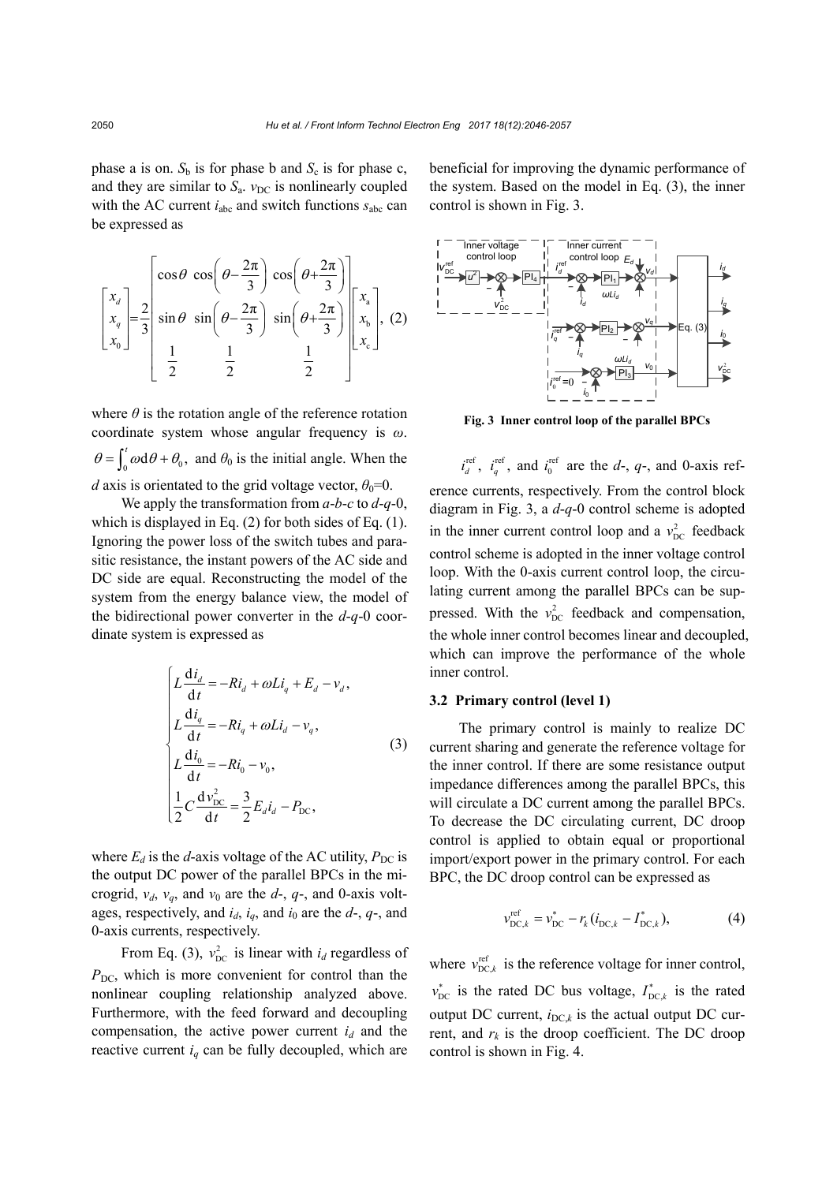phase a is on.  $S_b$  is for phase b and  $S_c$  is for phase c, and they are similar to  $S_a$ .  $v_{DC}$  is nonlinearly coupled with the AC current  $i_{abc}$  and switch functions  $s_{abc}$  can be expressed as

$$
\begin{bmatrix} x_d \\ x_q \\ x_0 \end{bmatrix} = \frac{2}{3} \begin{bmatrix} \cos \theta & \cos \left( \theta - \frac{2\pi}{3} \right) \cos \left( \theta + \frac{2\pi}{3} \right) \\ \sin \theta & \sin \left( \theta - \frac{2\pi}{3} \right) \sin \left( \theta + \frac{2\pi}{3} \right) \\ \frac{1}{2} & \frac{1}{2} & \frac{1}{2} \end{bmatrix} \begin{bmatrix} x_a \\ x_b \\ x_c \end{bmatrix}, (2)
$$

where  $\theta$  is the rotation angle of the reference rotation coordinate system whose angular frequency is *ω*.  $\theta = \int_0^t \omega \, d\theta + \theta_0$ , and  $\theta_0$  is the initial angle. When the *d* axis is orientated to the grid voltage vector,  $\theta_0=0$ .

We apply the transformation from *a*-*b*-*c* to *d*-*q*-0, which is displayed in Eq. (2) for both sides of Eq. (1). Ignoring the power loss of the switch tubes and parasitic resistance, the instant powers of the AC side and DC side are equal. Reconstructing the model of the system from the energy balance view, the model of the bidirectional power converter in the *d*-*q*-0 coordinate system is expressed as

$$
\begin{cases}\nL\frac{di_d}{dt} = -Ri_d + \omega L i_q + E_d - v_d, \\
L\frac{di_q}{dt} = -Ri_q + \omega L i_d - v_q,\n\end{cases}
$$
\n(3)\n
$$
\begin{cases}\nL\frac{di_0}{dt} = -Ri_0 - v_0, \\
\frac{1}{2}C\frac{dv_{\text{DC}}^2}{dt} = \frac{3}{2}E_d i_d - P_{\text{DC}},\n\end{cases}
$$

where  $E_d$  is the *d*-axis voltage of the AC utility,  $P_{DC}$  is the output DC power of the parallel BPCs in the microgrid,  $v_d$ ,  $v_q$ , and  $v_0$  are the  $d$ -,  $q$ -, and 0-axis voltages, respectively, and  $i_d$ ,  $i_q$ , and  $i_0$  are the  $d$ -,  $q$ -, and 0-axis currents, respectively.

From Eq. (3),  $v_{\text{DC}}^2$  is linear with  $i_d$  regardless of  $P_{\text{DC}}$ , which is more convenient for control than the nonlinear coupling relationship analyzed above. Furthermore, with the feed forward and decoupling compensation, the active power current  $i_d$  and the reactive current  $i_q$  can be fully decoupled, which are

beneficial for improving the dynamic performance of the system. Based on the model in Eq. (3), the inner control is shown in Fig. 3.



**Fig. 3 Inner control loop of the parallel BPCs**

 $i_d^{\text{ref}}$ ,  $i_q^{\text{ref}}$ , and  $i_0^{\text{ref}}$  are the *d*-, *q*-, and 0-axis reference currents, respectively. From the control block diagram in Fig. 3, a *d*-*q*-0 control scheme is adopted in the inner current control loop and a  $v_{\rm DC}^2$  feedback control scheme is adopted in the inner voltage control loop. With the 0-axis current control loop, the circulating current among the parallel BPCs can be suppressed. With the  $v_{\text{DC}}^2$  feedback and compensation, the whole inner control becomes linear and decoupled, which can improve the performance of the whole inner control.

# **3.2 Primary control (level 1)**

The primary control is mainly to realize DC current sharing and generate the reference voltage for the inner control. If there are some resistance output impedance differences among the parallel BPCs, this will circulate a DC current among the parallel BPCs. To decrease the DC circulating current, DC droop control is applied to obtain equal or proportional import/export power in the primary control. For each BPC, the DC droop control can be expressed as

$$
v_{\text{DC},k}^{\text{ref}} = v_{\text{DC}}^* - r_k (i_{\text{DC},k} - I_{\text{DC},k}^*), \tag{4}
$$

where  $v_{DC,k}^{ref}$  is the reference voltage for inner control,  $v_{\text{DC}}^*$  is the rated DC bus voltage,  $I_{\text{DC},k}^*$  is the rated output DC current,  $i_{DC,k}$  is the actual output DC current, and  $r_k$  is the droop coefficient. The DC droop control is shown in Fig. 4.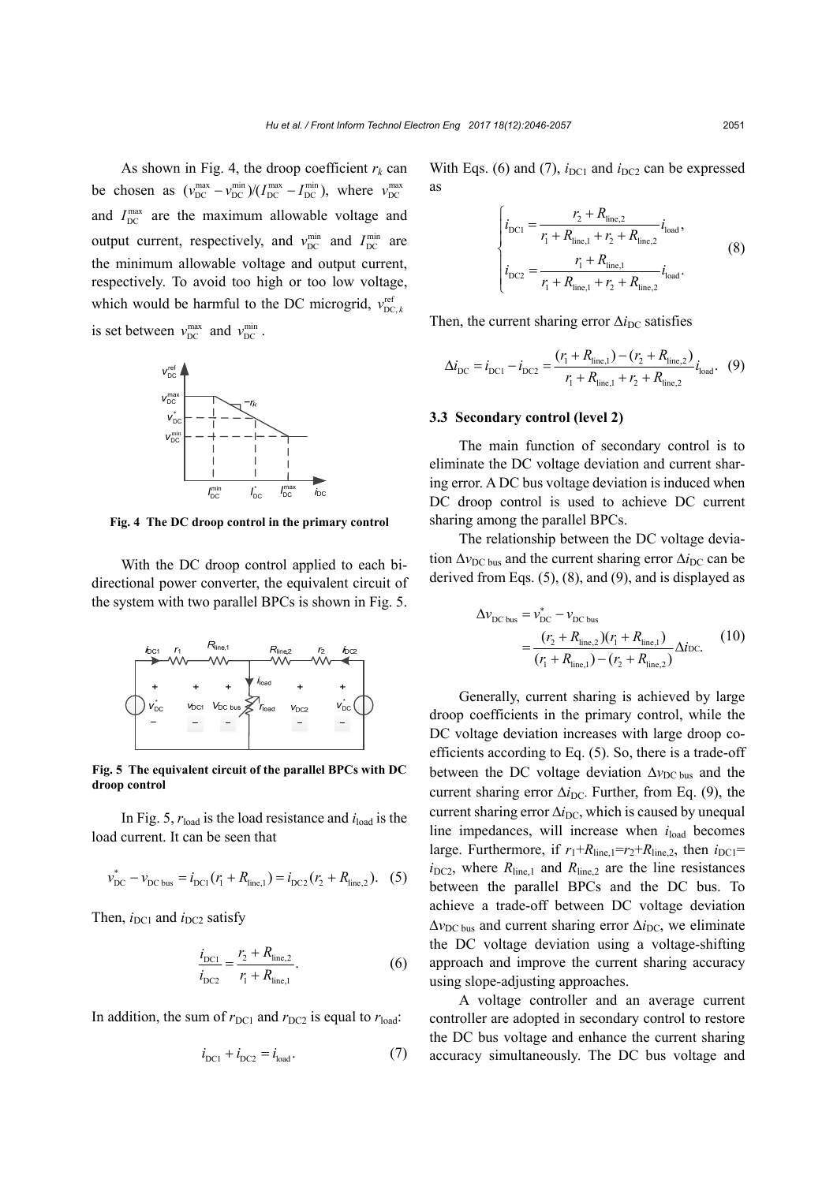As shown in Fig. 4, the droop coefficient  $r_k$  can be chosen as  $(v_{DC}^{max} - v_{DC}^{min})/(I_{DC}^{max} - I_{DC}^{min})$ , where  $v_{DC}^{max}$ and  $I_{\text{DC}}^{\text{max}}$  are the maximum allowable voltage and output current, respectively, and  $v_{\text{DC}}^{\text{min}}$  and  $I_{\text{DC}}^{\text{min}}$  are the minimum allowable voltage and output current, respectively. To avoid too high or too low voltage, which would be harmful to the DC microgrid,  $v_{DC,k}^{ref}$ is set between  $v_{DC}^{max}$  and  $v_{DC}^{min}$ .



**Fig. 4 The DC droop control in the primary control** 

With the DC droop control applied to each bidirectional power converter, the equivalent circuit of the system with two parallel BPCs is shown in Fig. 5.



**Fig. 5 The equivalent circuit of the parallel BPCs with DC droop control** 

In Fig. 5,  $r_{load}$  is the load resistance and  $i_{load}$  is the load current. It can be seen that

$$
v_{\rm DC}^* - v_{\rm DC\,bus} = i_{\rm DC1}(r_1 + R_{\rm line,1}) = i_{\rm DC2}(r_2 + R_{\rm line,2}).
$$
 (5)

Then,  $i_{DC1}$  and  $i_{DC2}$  satisfy

$$
\frac{i_{\text{DC1}}}{i_{\text{DC2}}} = \frac{r_2 + R_{\text{line,2}}}{r_1 + R_{\text{line,1}}}.
$$
 (6)

In addition, the sum of  $r_{\text{DC1}}$  and  $r_{\text{DC2}}$  is equal to  $r_{\text{load}}$ .

$$
i_{\text{DC1}} + i_{\text{DC2}} = i_{\text{load}}.\tag{7}
$$

With Eqs. (6) and (7),  $i_{\text{DC1}}$  and  $i_{\text{DC2}}$  can be expressed as

$$
\begin{cases}\ni_{\text{DC1}} = \frac{r_2 + R_{\text{line},2}}{r_1 + R_{\text{line},1} + r_2 + R_{\text{line},2}} i_{\text{load}}, \\
i_{\text{DC2}} = \frac{r_1 + R_{\text{line},1}}{r_1 + R_{\text{line},1} + r_2 + R_{\text{line},2}} i_{\text{load}}.\n\end{cases} (8)
$$

Then, the current sharing error  $\Delta i_{\rm DC}$  satisfies

$$
\Delta i_{\rm DC} = i_{\rm DC1} - i_{\rm DC2} = \frac{(r_{\rm i} + R_{\rm line,1}) - (r_{\rm 2} + R_{\rm line,2})}{r_{\rm i} + R_{\rm line,1} + r_{\rm 2} + R_{\rm line,2}} i_{\rm load}.
$$
 (9)

#### **3.3 Secondary control (level 2)**

The main function of secondary control is to eliminate the DC voltage deviation and current sharing error. A DC bus voltage deviation is induced when DC droop control is used to achieve DC current sharing among the parallel BPCs.

The relationship between the DC voltage deviation  $\Delta v_{\text{DC bus}}$  and the current sharing error  $\Delta i_{\text{DC}}$  can be derived from Eqs.  $(5)$ ,  $(8)$ , and  $(9)$ , and is displayed as

$$
\Delta v_{\text{DC bus}} = v_{\text{DC}}^* - v_{\text{DC bus}} \\
= \frac{(r_2 + R_{\text{line},2})(r_1 + R_{\text{line},1})}{(r_1 + R_{\text{line},1}) - (r_2 + R_{\text{line},2})} \Delta i \text{DC.}
$$
\n(10)

Generally, current sharing is achieved by large droop coefficients in the primary control, while the DC voltage deviation increases with large droop coefficients according to Eq. (5). So, there is a trade-off between the DC voltage deviation  $\Delta v_{\text{DC bus}}$  and the current sharing error  $\Delta i_{\text{DC}}$ . Further, from Eq. (9), the current sharing error  $\Delta i_{DC}$ , which is caused by unequal line impedances, will increase when *i*<sub>load</sub> becomes</sub> large. Furthermore, if  $r_1 + R_{\text{line},1} = r_2 + R_{\text{line},2}$ , then  $i_{\text{DC}1} =$  $i_{DC2}$ , where  $R_{line,1}$  and  $R_{line,2}$  are the line resistances between the parallel BPCs and the DC bus. To achieve a trade-off between DC voltage deviation  $\Delta v_{\text{DC bus}}$  and current sharing error  $\Delta i_{\text{DC}}$ , we eliminate the DC voltage deviation using a voltage-shifting approach and improve the current sharing accuracy using slope-adjusting approaches.

A voltage controller and an average current controller are adopted in secondary control to restore the DC bus voltage and enhance the current sharing accuracy simultaneously. The DC bus voltage and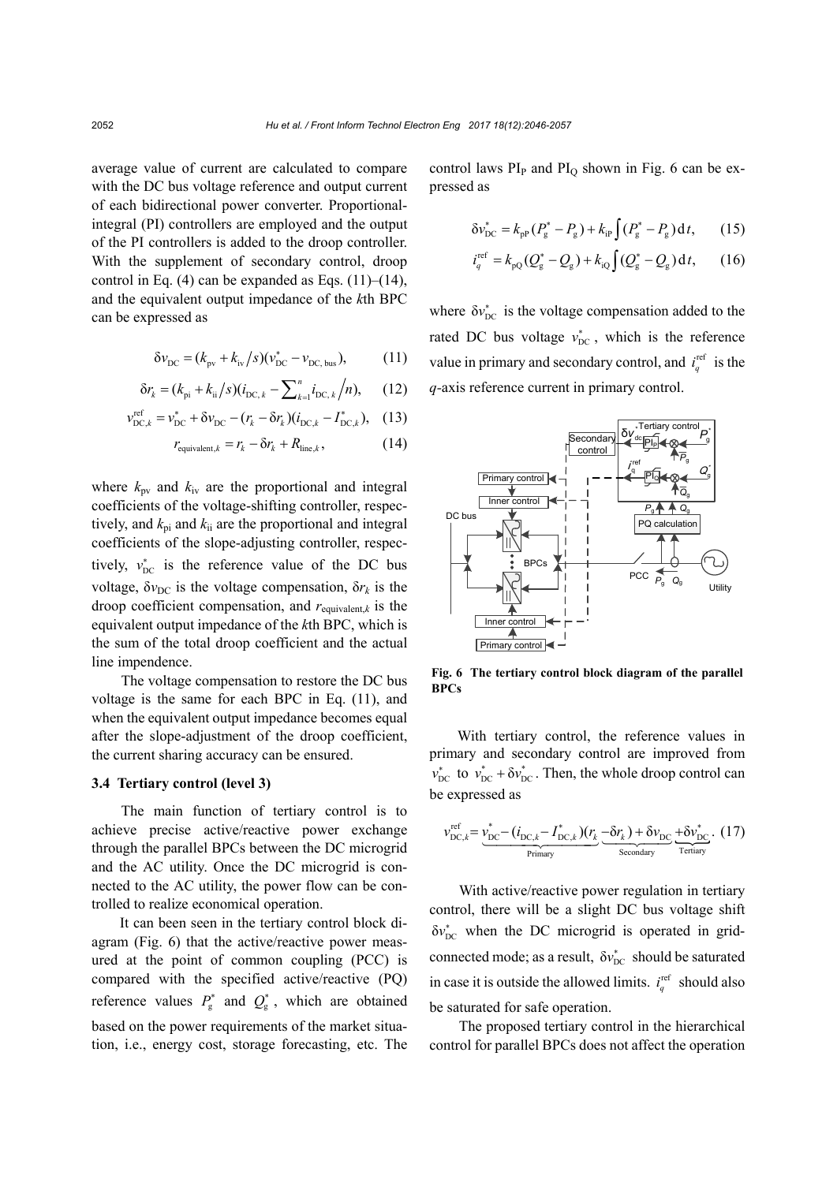average value of current are calculated to compare with the DC bus voltage reference and output current of each bidirectional power converter. Proportionalintegral (PI) controllers are employed and the output of the PI controllers is added to the droop controller. With the supplement of secondary control, droop control in Eq. (4) can be expanded as Eqs.  $(11)–(14)$ , and the equivalent output impedance of the *k*th BPC can be expressed as

$$
\delta v_{\rm DC} = (k_{\rm pv} + k_{\rm iv}/s)(v_{\rm DC}^* - v_{\rm DC, \, bus}),\tag{11}
$$

$$
\delta r_k = (k_{\rm pi} + k_{\rm ii}/s)(i_{\rm DC,k} - \sum_{k=1}^n i_{\rm DC,k}/n), \qquad (12)
$$

$$
v_{\text{DC},k}^{\text{ref}} = v_{\text{DC}}^* + \delta v_{\text{DC}} - (r_k - \delta r_k)(i_{\text{DC},k} - I_{\text{DC},k}^*), \quad (13)
$$

$$
r_{\text{equivalent},k} = r_k - \delta r_k + R_{\text{line},k},\tag{14}
$$

where  $k_{\text{pv}}$  and  $k_{\text{iv}}$  are the proportional and integral coefficients of the voltage-shifting controller, respectively, and  $k_{pi}$  and  $k_{ii}$  are the proportional and integral coefficients of the slope-adjusting controller, respectively,  $v_{\text{DC}}^*$  is the reference value of the DC bus voltage,  $\delta v_{\text{DC}}$  is the voltage compensation,  $\delta r_k$  is the droop coefficient compensation, and *r*equivalent,*k* is the equivalent output impedance of the *k*th BPC, which is the sum of the total droop coefficient and the actual line impendence.

The voltage compensation to restore the DC bus voltage is the same for each BPC in Eq. (11), and when the equivalent output impedance becomes equal after the slope-adjustment of the droop coefficient, the current sharing accuracy can be ensured.

# **3.4 Tertiary control (level 3)**

The main function of tertiary control is to achieve precise active/reactive power exchange through the parallel BPCs between the DC microgrid and the AC utility. Once the DC microgrid is connected to the AC utility, the power flow can be controlled to realize economical operation.

It can been seen in the tertiary control block diagram (Fig. 6) that the active/reactive power measured at the point of common coupling (PCC) is compared with the specified active/reactive (PQ) reference values  $P_g^*$  and  $Q_g^*$ , which are obtained based on the power requirements of the market situation, i.e., energy cost, storage forecasting, etc. The

control laws  $PI<sub>P</sub>$  and  $PI<sub>Q</sub>$  shown in Fig. 6 can be expressed as

$$
\delta v_{\rm DC}^* = k_{\rm pp} (P_{\rm g}^* - P_{\rm g}) + k_{\rm ip} \int (P_{\rm g}^* - P_{\rm g}) \, \mathrm{d}t, \qquad (15)
$$

$$
i_q^{\text{ref}} = k_{\text{pQ}} (Q_{\text{g}}^* - Q_{\text{g}}) + k_{\text{iQ}} \int (Q_{\text{g}}^* - Q_{\text{g}}) \, \mathrm{d} \, t, \qquad (16)
$$

where  $\delta v_{\rm DC}^*$  is the voltage compensation added to the rated DC bus voltage  $v_{\text{DC}}^*$ , which is the reference value in primary and secondary control, and  $i_q^{\text{ref}}$  is the *q-*axis reference current in primary control.



**Fig. 6 The tertiary control block diagram of the parallel BPCs**

With tertiary control, the reference values in primary and secondary control are improved from  $v_{\text{DC}}^*$  to  $v_{\text{DC}}^* + \delta v_{\text{DC}}^*$ . Then, the whole droop control can be expressed as

$$
v_{\text{DC},k}^{\text{ref}} = \underbrace{v_{\text{DC}}^* - (i_{\text{DC},k} - I_{\text{DC},k}^*) (r_k)}_{\text{Primary}} \underbrace{-\delta r_k) + \delta v_{\text{DC}}}_{\text{Secondary}} \underbrace{+ \delta v_{\text{DC}}^*}_{\text{Tertiary}}. (17)
$$

With active/reactive power regulation in tertiary control, there will be a slight DC bus voltage shift  $\delta v_{\rm DC}^*$  when the DC microgrid is operated in gridconnected mode; as a result,  $\delta v_{\rm DC}^*$  should be saturated in case it is outside the allowed limits.  $i_q^{\text{ref}}$  should also be saturated for safe operation.

The proposed tertiary control in the hierarchical control for parallel BPCs does not affect the operation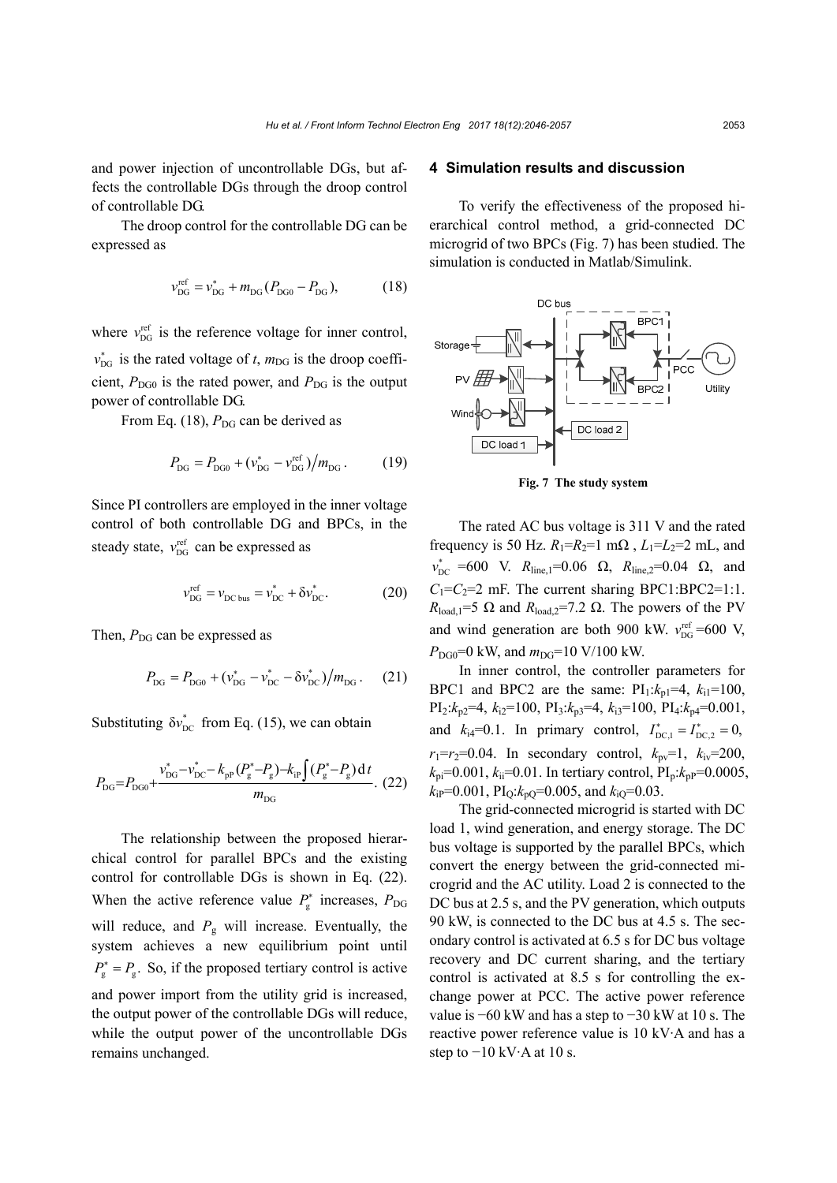and power injection of uncontrollable DGs, but affects the controllable DGs through the droop control of controllable DG.

The droop control for the controllable DG can be expressed as

$$
v_{\rm DG}^{\rm ref} = v_{\rm DG}^* + m_{\rm DG} (P_{\rm DG0} - P_{\rm DG}),\tag{18}
$$

where  $v_{\text{DG}}^{\text{ref}}$  is the reference voltage for inner control,  $v_{\text{DG}}^*$  is the rated voltage of *t*,  $m_{\text{DG}}$  is the droop coefficient,  $P_{\text{DG}0}$  is the rated power, and  $P_{\text{DG}}$  is the output power of controllable DG.

From Eq. (18),  $P_{\text{DG}}$  can be derived as

$$
P_{\rm DG} = P_{\rm DG0} + (v_{\rm DG}^* - v_{\rm DG}^{\rm ref})/m_{\rm DG} \,. \tag{19}
$$

Since PI controllers are employed in the inner voltage control of both controllable DG and BPCs, in the steady state,  $v_{\rm DG}^{\rm ref}$  can be expressed as

$$
v_{\text{DG}}^{\text{ref}} = v_{\text{DC bus}} = v_{\text{DC}}^* + \delta v_{\text{DC}}^*.
$$
 (20)

Then, *P*<sub>DG</sub> can be expressed as

$$
P_{\rm DG} = P_{\rm DG0} + (v_{\rm DG}^* - v_{\rm DC}^* - \delta v_{\rm DC}^*)/m_{\rm DG} \,. \tag{21}
$$

Substituting  $\delta v_{\text{DC}}^*$  from Eq. (15), we can obtain

$$
P_{\rm DG} = P_{\rm DG0} + \frac{v_{\rm DG}^* - v_{\rm DC}^* - k_{\rm pp} (P_{\rm g}^* - P_{\rm g}) - k_{\rm ip} \int (P_{\rm g}^* - P_{\rm g}) \, \mathrm{d} \, t}{m_{\rm DG}}.\tag{22}
$$

The relationship between the proposed hierarchical control for parallel BPCs and the existing control for controllable DGs is shown in Eq. (22). When the active reference value  $P_g^*$  increases,  $P_{\text{DG}}$ will reduce, and  $P<sub>g</sub>$  will increase. Eventually, the system achieves a new equilibrium point until  $P_{\rm g}^* = P_{\rm g}$ . So, if the proposed tertiary control is active and power import from the utility grid is increased, the output power of the controllable DGs will reduce, while the output power of the uncontrollable DGs remains unchanged.

# **4 Simulation results and discussion**

To verify the effectiveness of the proposed hierarchical control method, a grid-connected DC microgrid of two BPCs (Fig. 7) has been studied. The simulation is conducted in Matlab/Simulink.



**Fig. 7 The study system**

The rated AC bus voltage is 311 V and the rated frequency is 50 Hz.  $R_1=R_2=1$  m $\Omega$ ,  $L_1=L_2=2$  mL, and  $v_{\text{DC}}^*$  =600 V.  $R_{\text{line,1}}$ =0.06 Ω,  $R_{\text{line,2}}$ =0.04 Ω, and  $C_1 = C_2 = 2$  mF. The current sharing BPC1:BPC2=1:1.  $R_{load,1}$ =5  $\Omega$  and  $R_{load,2}$ =7.2  $\Omega$ . The powers of the PV and wind generation are both 900 kW.  $v_{\text{DG}}^{\text{ref}}$  =600 V, *P*<sub>DG0</sub>=0 kW, and  $m_{\text{DG}}$ =10 V/100 kW.

In inner control, the controller parameters for BPC1 and BPC2 are the same:  $PI_1:k_{p1}=4$ ,  $k_{i1}=100$ ,  $\text{PI}_2$ : $k_{p2}$ =4,  $k_{i2}$ =100,  $\text{PI}_3$ : $k_{p3}$ =4,  $k_{i3}$ =100,  $\text{PI}_4$ : $k_{p4}$ =0.001, and  $k_{\text{A}}=0.1$ . In primary control,  $I_{\text{DC}}^* = I_{\text{DC}}^* = 0$ ,  $r_1 = r_2 = 0.04$ . In secondary control,  $k_{pv} = 1$ ,  $k_{iv} = 200$ ,  $k_{pi}$ =0.001,  $k_{ii}$ =0.01. In tertiary control, PI<sub>p</sub>: $k_{p}$ P=0.0005,  $k_{\text{IP}}$ =0.001, PI<sub>O</sub>: $k_{\text{pO}}$ =0.005, and  $k_{\text{IO}}$ =0.03.

The grid-connected microgrid is started with DC load 1, wind generation, and energy storage. The DC bus voltage is supported by the parallel BPCs, which convert the energy between the grid-connected microgrid and the AC utility. Load 2 is connected to the DC bus at 2.5 s, and the PV generation, which outputs 90 kW, is connected to the DC bus at 4.5 s. The secondary control is activated at 6.5 s for DC bus voltage recovery and DC current sharing, and the tertiary control is activated at 8.5 s for controlling the exchange power at PCC. The active power reference value is −60 kW and has a step to −30 kW at 10 s. The reactive power reference value is 10 kV·A and has a step to  $-10$  kV $\cdot$ A at 10 s.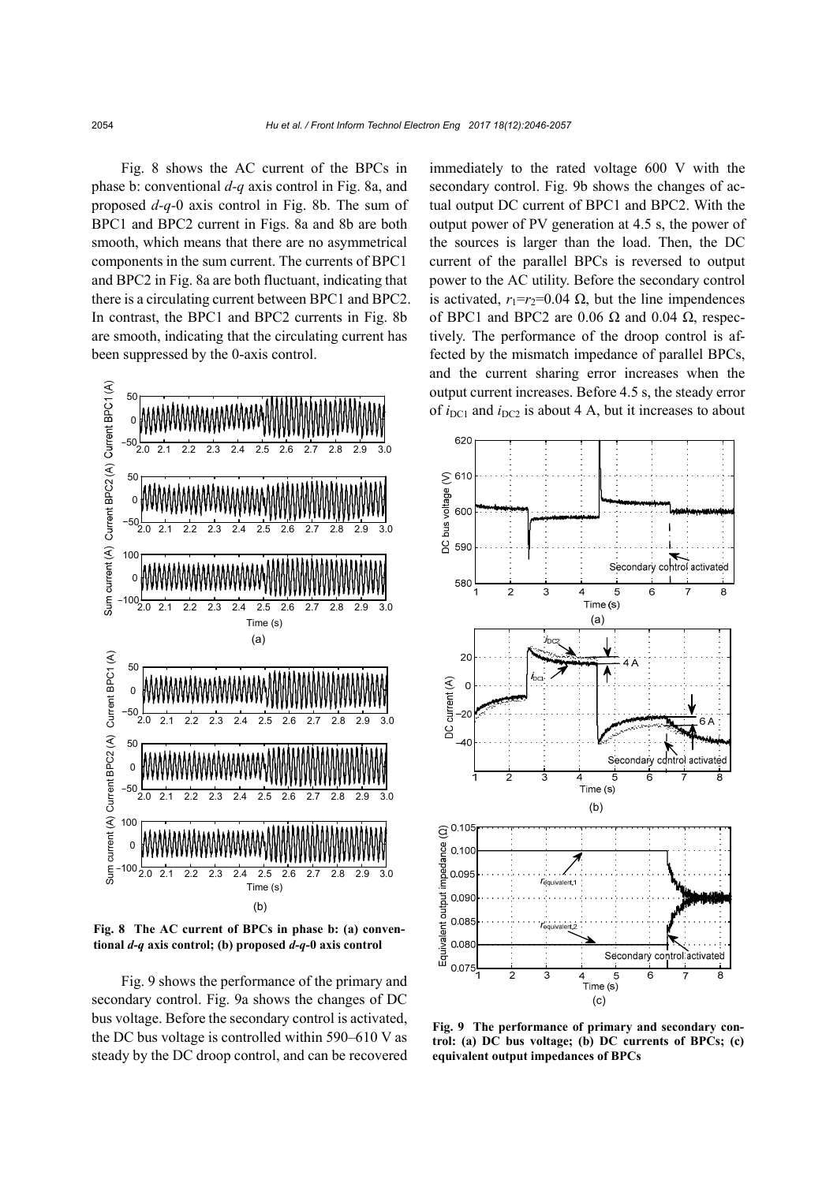Fig. 8 shows the AC current of the BPCs in phase b: conventional *d-q* axis control in Fig. 8a, and proposed *d-q-*0 axis control in Fig. 8b. The sum of BPC1 and BPC2 current in Figs. 8a and 8b are both smooth, which means that there are no asymmetrical components in the sum current. The currents of BPC1 and BPC2 in Fig. 8a are both fluctuant, indicating that there is a circulating current between BPC1 and BPC2. In contrast, the BPC1 and BPC2 currents in Fig. 8b are smooth, indicating that the circulating current has been suppressed by the 0-axis control.



**Fig. 8 The AC current of BPCs in phase b: (a) conventional** *d-q* **axis control; (b) proposed** *d-q-***0 axis control** 

Fig. 9 shows the performance of the primary and secondary control. Fig. 9a shows the changes of DC bus voltage. Before the secondary control is activated, the DC bus voltage is controlled within 590–610 V as steady by the DC droop control, and can be recovered immediately to the rated voltage 600 V with the secondary control. Fig. 9b shows the changes of actual output DC current of BPC1 and BPC2. With the output power of PV generation at 4.5 s, the power of the sources is larger than the load. Then, the DC current of the parallel BPCs is reversed to output power to the AC utility. Before the secondary control is activated,  $r_1=r_2=0.04 \Omega$ , but the line impendences of BPC1 and BPC2 are 0.06  $\Omega$  and 0.04  $\Omega$ , respectively. The performance of the droop control is affected by the mismatch impedance of parallel BPCs, and the current sharing error increases when the output current increases. Before 4.5 s, the steady error of  $i_{\text{DC1}}$  and  $i_{\text{DC2}}$  is about 4 A, but it increases to about



**Fig. 9 The performance of primary and secondary control: (a) DC bus voltage; (b) DC currents of BPCs; (c) equivalent output impedances of BPCs**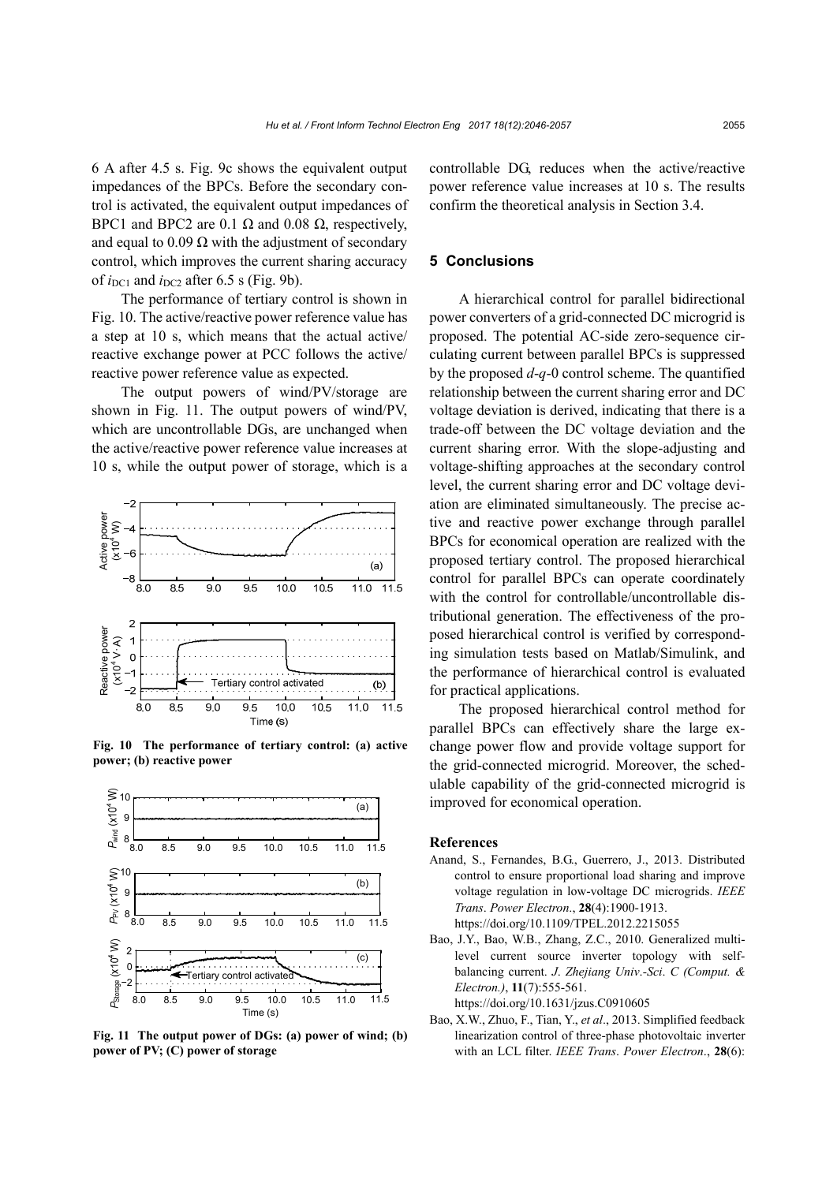6 A after 4.5 s. Fig. 9c shows the equivalent output impedances of the BPCs. Before the secondary control is activated, the equivalent output impedances of BPC1 and BPC2 are 0.1 Ω and 0.08  $\Omega$ , respectively, and equal to 0.09  $\Omega$  with the adjustment of secondary control, which improves the current sharing accuracy of  $i_{\text{DC1}}$  and  $i_{\text{DC2}}$  after 6.5 s (Fig. 9b).

The performance of tertiary control is shown in Fig. 10. The active/reactive power reference value has a step at 10 s, which means that the actual active/ reactive exchange power at PCC follows the active/ reactive power reference value as expected.

The output powers of wind/PV/storage are shown in Fig. 11. The output powers of wind/PV, which are uncontrollable DGs, are unchanged when the active/reactive power reference value increases at 10 s, while the output power of storage, which is a



**Fig. 10 The performance of tertiary control: (a) active power; (b) reactive power** 



**Fig. 11 The output power of DGs: (a) power of wind; (b)** 

controllable DG, reduces when the active/reactive power reference value increases at 10 s. The results confirm the theoretical analysis in Section 3.4.

# **5 Conclusions**

A hierarchical control for parallel bidirectional power converters of a grid-connected DC microgrid is proposed. The potential AC-side zero-sequence circulating current between parallel BPCs is suppressed by the proposed *d*-*q*-0 control scheme. The quantified relationship between the current sharing error and DC voltage deviation is derived, indicating that there is a trade-off between the DC voltage deviation and the current sharing error. With the slope-adjusting and voltage-shifting approaches at the secondary control level, the current sharing error and DC voltage deviation are eliminated simultaneously. The precise active and reactive power exchange through parallel BPCs for economical operation are realized with the proposed tertiary control. The proposed hierarchical control for parallel BPCs can operate coordinately with the control for controllable/uncontrollable distributional generation. The effectiveness of the proposed hierarchical control is verified by corresponding simulation tests based on Matlab/Simulink, and the performance of hierarchical control is evaluated for practical applications.

The proposed hierarchical control method for parallel BPCs can effectively share the large exchange power flow and provide voltage support for the grid-connected microgrid. Moreover, the schedulable capability of the grid-connected microgrid is improved for economical operation.

#### **References**

- Anand, S., Fernandes, B.G., Guerrero, J., 2013. Distributed control to ensure proportional load sharing and improve voltage regulation in low-voltage DC microgrids. *IEEE Trans*. *Power Electron*., **28**(4):1900-1913. https://doi.org/10.1109/TPEL.2012.2215055
- Bao, J.Y., Bao, W.B., Zhang, Z.C., 2010. Generalized multilevel current source inverter topology with selfbalancing current. *J*. *Zhejiang Univ*.*-Sci*. *C (Comput. & Electron.)*, **11**(7):555-561. https://doi.org/10.1631/jzus.C0910605
- Bao, X.W., Zhuo, F., Tian, Y., *et al*., 2013. Simplified feedback linearization control of three-phase photovoltaic inverter with an LCL filter. *IEEE Trans*. *Power Electron*., **28**(6):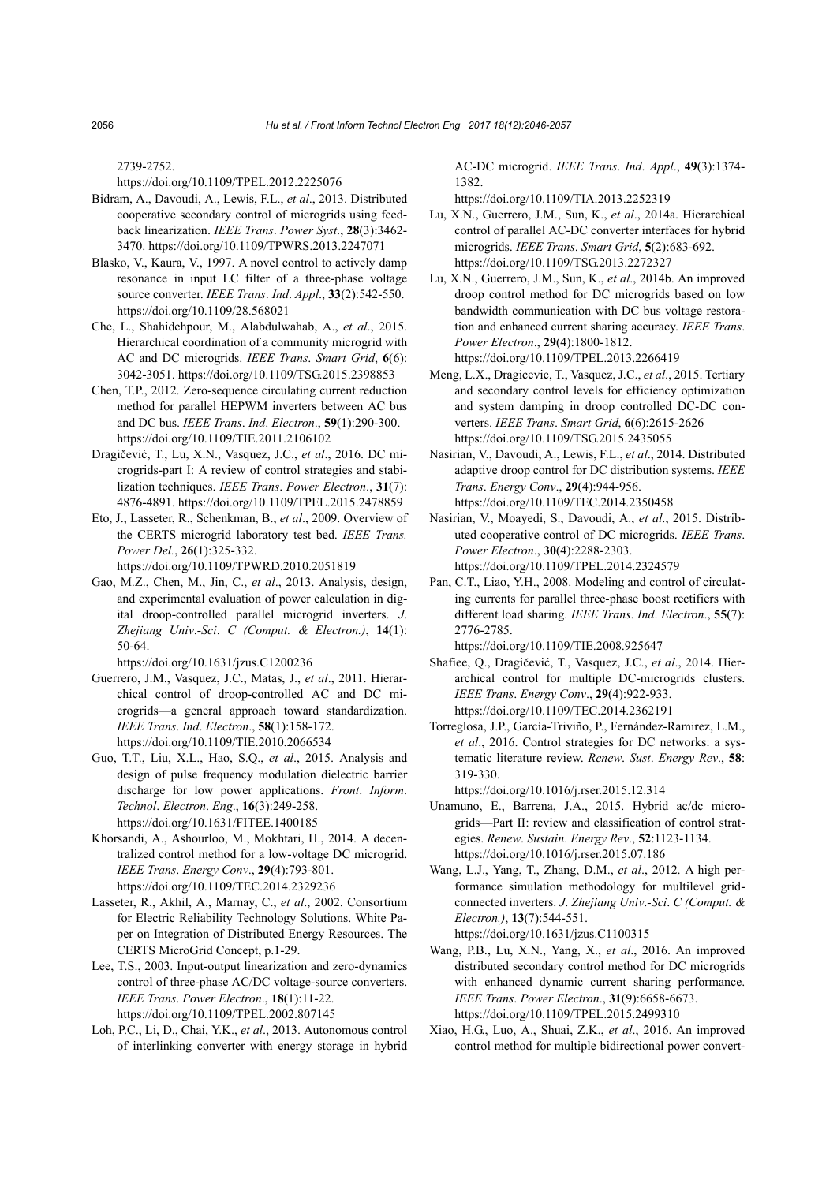2739-2752.

https://doi.org/10.1109/TPEL.2012.2225076

- Bidram, A., Davoudi, A., Lewis, F.L., *et al*., 2013. Distributed cooperative secondary control of microgrids using feedback linearization. *IEEE Trans*. *Power Syst*., **28**(3):3462- 3470. https://doi.org/10.1109/TPWRS.2013.2247071
- Blasko, V., Kaura, V., 1997. A novel control to actively damp resonance in input LC filter of a three-phase voltage source converter. *IEEE Trans*. *Ind*. *Appl*., **33**(2):542-550. https://doi.org/10.1109/28.568021
- Che, L., Shahidehpour, M., Alabdulwahab, A., *et al*., 2015. Hierarchical coordination of a community microgrid with AC and DC microgrids. *IEEE Trans*. *Smart Grid*, **6**(6): 3042-3051. https://doi.org/10.1109/TSG.2015.2398853
- Chen, T.P., 2012. Zero-sequence circulating current reduction method for parallel HEPWM inverters between AC bus and DC bus. *IEEE Trans*. *Ind*. *Electron*., **59**(1):290-300. https://doi.org/10.1109/TIE.2011.2106102
- Dragičević, T., Lu, X.N., Vasquez, J.C., *et al*., 2016. DC microgrids-part I: A review of control strategies and stabilization techniques. *IEEE Trans*. *Power Electron*., **31**(7): 4876-4891. https://doi.org/10.1109/TPEL.2015.2478859
- Eto, J., Lasseter, R., Schenkman, B., *et al*., 2009. Overview of the CERTS microgrid laboratory test bed. *IEEE Trans. Power Del.*, **26**(1):325-332. https://doi.org/10.1109/TPWRD.2010.2051819
- Gao, M.Z., Chen, M., Jin, C., *et al*., 2013. Analysis, design, and experimental evaluation of power calculation in digital droop-controlled parallel microgrid inverters. *J*. *Zhejiang Univ*.*-Sci*. *C (Comput. & Electron.)*, **14**(1): 50-64.

https://doi.org/10.1631/jzus.C1200236

- Guerrero, J.M., Vasquez, J.C., Matas, J., *et al*., 2011. Hierarchical control of droop-controlled AC and DC microgrids—a general approach toward standardization. *IEEE Trans*. *Ind*. *Electron*., **58**(1):158-172. https://doi.org/10.1109/TIE.2010.2066534
- Guo, T.T., Liu, X.L., Hao, S.Q., *et al*., 2015. Analysis and design of pulse frequency modulation dielectric barrier discharge for low power applications. *Front*. *Inform*. *Technol*. *Electron*. *Eng*., **16**(3):249-258. https://doi.org/10.1631/FITEE.1400185
- Khorsandi, A., Ashourloo, M., Mokhtari, H., 2014. A decentralized control method for a low-voltage DC microgrid. *IEEE Trans*. *Energy Conv*., **29**(4):793-801. https://doi.org/10.1109/TEC.2014.2329236
- Lasseter, R., Akhil, A., Marnay, C., *et al*., 2002. Consortium for Electric Reliability Technology Solutions. White Paper on Integration of Distributed Energy Resources. The CERTS MicroGrid Concept, p.1-29.
- Lee, T.S., 2003. Input-output linearization and zero-dynamics control of three-phase AC/DC voltage-source converters. *IEEE Trans*. *Power Electron*., **18**(1):11-22. https://doi.org/10.1109/TPEL.2002.807145
- Loh, P.C., Li, D., Chai, Y.K., *et al*., 2013. Autonomous control of interlinking converter with energy storage in hybrid

AC-DC microgrid. *IEEE Trans*. *Ind*. *Appl*., **49**(3):1374- 1382.

https://doi.org/10.1109/TIA.2013.2252319

- Lu, X.N., Guerrero, J.M., Sun, K., *et al*., 2014a. Hierarchical control of parallel AC-DC converter interfaces for hybrid microgrids. *IEEE Trans*. *Smart Grid*, **5**(2):683-692. https://doi.org/10.1109/TSG.2013.2272327
- Lu, X.N., Guerrero, J.M., Sun, K., *et al*., 2014b. An improved droop control method for DC microgrids based on low bandwidth communication with DC bus voltage restoration and enhanced current sharing accuracy. *IEEE Trans*. *Power Electron*., **29**(4):1800-1812. https://doi.org/10.1109/TPEL.2013.2266419
- Meng, L.X., Dragicevic, T., Vasquez, J.C., *et al*., 2015. Tertiary and secondary control levels for efficiency optimization and system damping in droop controlled DC-DC converters. *IEEE Trans*. *Smart Grid*, **6**(6):2615-2626 https://doi.org/10.1109/TSG.2015.2435055
- Nasirian, V., Davoudi, A., Lewis, F.L., *et al*., 2014. Distributed adaptive droop control for DC distribution systems. *IEEE Trans*. *Energy Conv*., **29**(4):944-956. https://doi.org/10.1109/TEC.2014.2350458
- Nasirian, V., Moayedi, S., Davoudi, A., *et al*., 2015. Distributed cooperative control of DC microgrids. *IEEE Trans*. *Power Electron*., **30**(4):2288-2303. https://doi.org/10.1109/TPEL.2014.2324579
- Pan, C.T., Liao, Y.H., 2008. Modeling and control of circulating currents for parallel three-phase boost rectifiers with different load sharing. *IEEE Trans*. *Ind*. *Electron*., **55**(7): 2776-2785.

https://doi.org/10.1109/TIE.2008.925647

- Shafiee, Q., Dragičević, T., Vasquez, J.C., *et al*., 2014. Hierarchical control for multiple DC-microgrids clusters. *IEEE Trans*. *Energy Conv*., **29**(4):922-933. https://doi.org/10.1109/TEC.2014.2362191
- Torreglosa, J.P., García-Triviño, P., Fernández-Ramirez, L.M., *et al*., 2016. Control strategies for DC networks: a systematic literature review. *Renew*. *Sust*. *Energy Rev*., **58**: 319-330.

https://doi.org/10.1016/j.rser.2015.12.314

- Unamuno, E., Barrena, J.A., 2015. Hybrid ac/dc microgrids—Part II: review and classification of control strategies. *Renew*. *Sustain*. *Energy Rev*., **52**:1123-1134. https://doi.org/10.1016/j.rser.2015.07.186
- Wang, L.J., Yang, T., Zhang, D.M., *et al*., 2012. A high performance simulation methodology for multilevel gridconnected inverters. *J*. *Zhejiang Univ*.*-Sci*. *C (Comput. & Electron.)*, **13**(7):544-551. https://doi.org/10.1631/jzus.C1100315
- Wang, P.B., Lu, X.N., Yang, X., *et al*., 2016. An improved distributed secondary control method for DC microgrids with enhanced dynamic current sharing performance. *IEEE Trans*. *Power Electron*., **31**(9):6658-6673. https://doi.org/10.1109/TPEL.2015.2499310
- Xiao, H.G., Luo, A., Shuai, Z.K., *et al*., 2016. An improved control method for multiple bidirectional power convert-